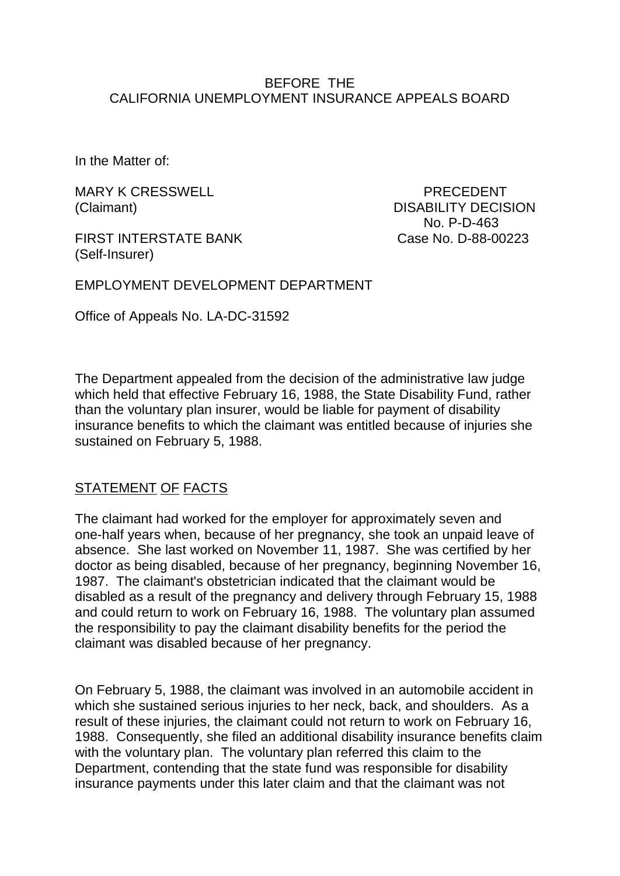### BEFORE THE CALIFORNIA UNEMPLOYMENT INSURANCE APPEALS BOARD

In the Matter of:

MARY K CRESSWELL **Example 20 YO F ALSO AREA** PRECEDENT

FIRST INTERSTATE BANK Case No. D-88-00223 (Self-Insurer)

(Claimant) DISABILITY DECISION No. P-D-463

EMPLOYMENT DEVELOPMENT DEPARTMENT

Office of Appeals No. LA-DC-31592

The Department appealed from the decision of the administrative law judge which held that effective February 16, 1988, the State Disability Fund, rather than the voluntary plan insurer, would be liable for payment of disability insurance benefits to which the claimant was entitled because of injuries she sustained on February 5, 1988.

# STATEMENT OF FACTS

The claimant had worked for the employer for approximately seven and one-half years when, because of her pregnancy, she took an unpaid leave of absence. She last worked on November 11, 1987. She was certified by her doctor as being disabled, because of her pregnancy, beginning November 16, 1987. The claimant's obstetrician indicated that the claimant would be disabled as a result of the pregnancy and delivery through February 15, 1988 and could return to work on February 16, 1988. The voluntary plan assumed the responsibility to pay the claimant disability benefits for the period the claimant was disabled because of her pregnancy.

On February 5, 1988, the claimant was involved in an automobile accident in which she sustained serious injuries to her neck, back, and shoulders. As a result of these injuries, the claimant could not return to work on February 16, 1988. Consequently, she filed an additional disability insurance benefits claim with the voluntary plan. The voluntary plan referred this claim to the Department, contending that the state fund was responsible for disability insurance payments under this later claim and that the claimant was not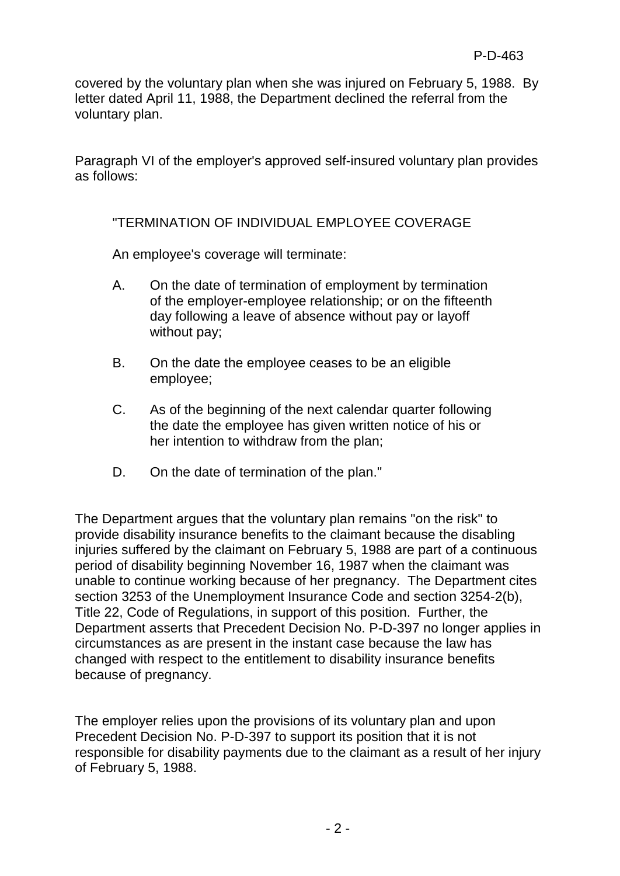covered by the voluntary plan when she was injured on February 5, 1988. By letter dated April 11, 1988, the Department declined the referral from the voluntary plan.

Paragraph VI of the employer's approved self-insured voluntary plan provides as follows:

# "TERMINATION OF INDIVIDUAL EMPLOYEE COVERAGE

An employee's coverage will terminate:

- A. On the date of termination of employment by termination of the employer-employee relationship; or on the fifteenth day following a leave of absence without pay or layoff without pay;
- B. On the date the employee ceases to be an eligible employee;
- C. As of the beginning of the next calendar quarter following the date the employee has given written notice of his or her intention to withdraw from the plan;
- D. On the date of termination of the plan."

The Department argues that the voluntary plan remains "on the risk" to provide disability insurance benefits to the claimant because the disabling injuries suffered by the claimant on February 5, 1988 are part of a continuous period of disability beginning November 16, 1987 when the claimant was unable to continue working because of her pregnancy. The Department cites section 3253 of the Unemployment Insurance Code and section 3254-2(b), Title 22, Code of Regulations, in support of this position. Further, the Department asserts that Precedent Decision No. P-D-397 no longer applies in circumstances as are present in the instant case because the law has changed with respect to the entitlement to disability insurance benefits because of pregnancy.

The employer relies upon the provisions of its voluntary plan and upon Precedent Decision No. P-D-397 to support its position that it is not responsible for disability payments due to the claimant as a result of her injury of February 5, 1988.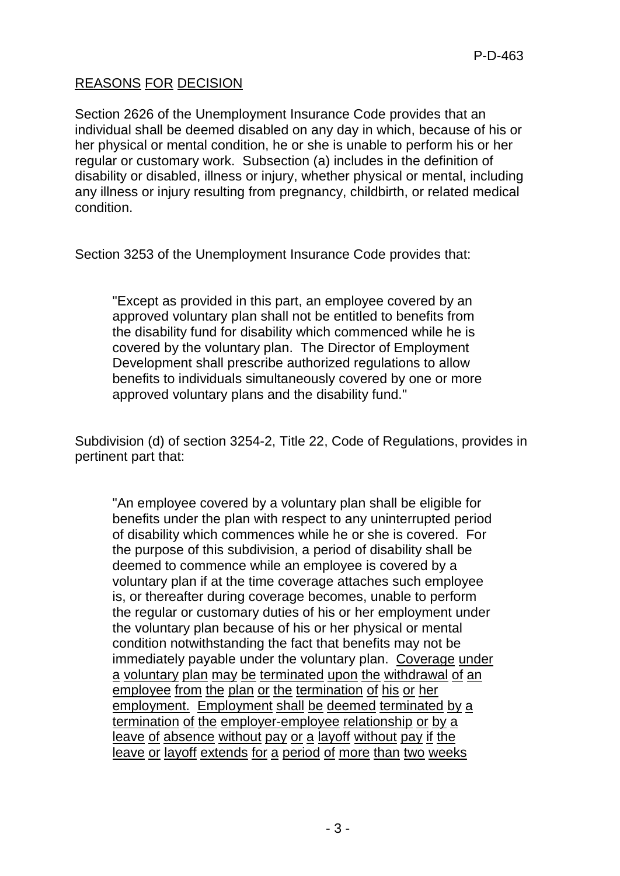# REASONS FOR DECISION

Section 2626 of the Unemployment Insurance Code provides that an individual shall be deemed disabled on any day in which, because of his or her physical or mental condition, he or she is unable to perform his or her regular or customary work. Subsection (a) includes in the definition of disability or disabled, illness or injury, whether physical or mental, including any illness or injury resulting from pregnancy, childbirth, or related medical condition.

Section 3253 of the Unemployment Insurance Code provides that:

"Except as provided in this part, an employee covered by an approved voluntary plan shall not be entitled to benefits from the disability fund for disability which commenced while he is covered by the voluntary plan. The Director of Employment Development shall prescribe authorized regulations to allow benefits to individuals simultaneously covered by one or more approved voluntary plans and the disability fund."

Subdivision (d) of section 3254-2, Title 22, Code of Regulations, provides in pertinent part that:

"An employee covered by a voluntary plan shall be eligible for benefits under the plan with respect to any uninterrupted period of disability which commences while he or she is covered. For the purpose of this subdivision, a period of disability shall be deemed to commence while an employee is covered by a voluntary plan if at the time coverage attaches such employee is, or thereafter during coverage becomes, unable to perform the regular or customary duties of his or her employment under the voluntary plan because of his or her physical or mental condition notwithstanding the fact that benefits may not be immediately payable under the voluntary plan. Coverage under a voluntary plan may be terminated upon the withdrawal of an employee from the plan or the termination of his or her employment. Employment shall be deemed terminated by a termination of the employer-employee relationship or by a leave of absence without pay or a layoff without pay if the leave or layoff extends for a period of more than two weeks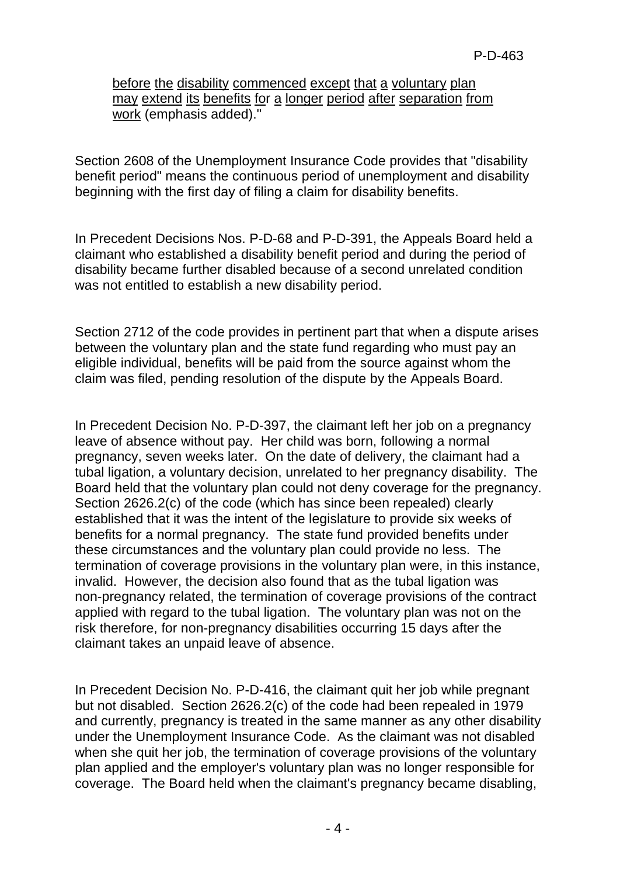before the disability commenced except that a voluntary plan may extend its benefits for a longer period after separation from work (emphasis added)."

Section 2608 of the Unemployment Insurance Code provides that "disability benefit period" means the continuous period of unemployment and disability beginning with the first day of filing a claim for disability benefits.

In Precedent Decisions Nos. P-D-68 and P-D-391, the Appeals Board held a claimant who established a disability benefit period and during the period of disability became further disabled because of a second unrelated condition was not entitled to establish a new disability period.

Section 2712 of the code provides in pertinent part that when a dispute arises between the voluntary plan and the state fund regarding who must pay an eligible individual, benefits will be paid from the source against whom the claim was filed, pending resolution of the dispute by the Appeals Board.

In Precedent Decision No. P-D-397, the claimant left her job on a pregnancy leave of absence without pay. Her child was born, following a normal pregnancy, seven weeks later. On the date of delivery, the claimant had a tubal ligation, a voluntary decision, unrelated to her pregnancy disability. The Board held that the voluntary plan could not deny coverage for the pregnancy. Section 2626.2(c) of the code (which has since been repealed) clearly established that it was the intent of the legislature to provide six weeks of benefits for a normal pregnancy. The state fund provided benefits under these circumstances and the voluntary plan could provide no less. The termination of coverage provisions in the voluntary plan were, in this instance, invalid. However, the decision also found that as the tubal ligation was non-pregnancy related, the termination of coverage provisions of the contract applied with regard to the tubal ligation. The voluntary plan was not on the risk therefore, for non-pregnancy disabilities occurring 15 days after the claimant takes an unpaid leave of absence.

In Precedent Decision No. P-D-416, the claimant quit her job while pregnant but not disabled. Section 2626.2(c) of the code had been repealed in 1979 and currently, pregnancy is treated in the same manner as any other disability under the Unemployment Insurance Code. As the claimant was not disabled when she quit her job, the termination of coverage provisions of the voluntary plan applied and the employer's voluntary plan was no longer responsible for coverage. The Board held when the claimant's pregnancy became disabling,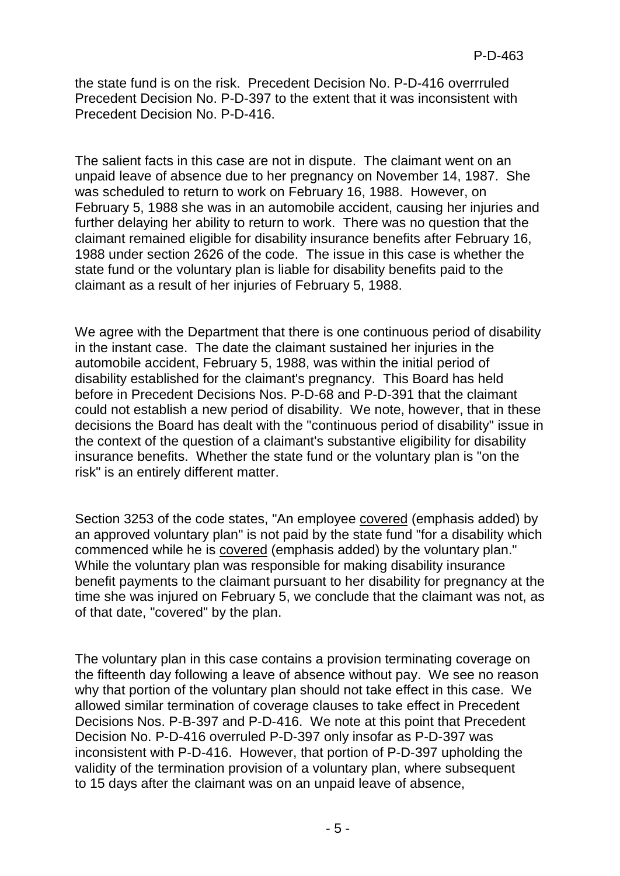the state fund is on the risk. Precedent Decision No. P-D-416 overrruled Precedent Decision No. P-D-397 to the extent that it was inconsistent with Precedent Decision No. P-D-416.

The salient facts in this case are not in dispute. The claimant went on an unpaid leave of absence due to her pregnancy on November 14, 1987. She was scheduled to return to work on February 16, 1988. However, on February 5, 1988 she was in an automobile accident, causing her injuries and further delaying her ability to return to work. There was no question that the claimant remained eligible for disability insurance benefits after February 16, 1988 under section 2626 of the code. The issue in this case is whether the state fund or the voluntary plan is liable for disability benefits paid to the claimant as a result of her injuries of February 5, 1988.

We agree with the Department that there is one continuous period of disability in the instant case. The date the claimant sustained her injuries in the automobile accident, February 5, 1988, was within the initial period of disability established for the claimant's pregnancy. This Board has held before in Precedent Decisions Nos. P-D-68 and P-D-391 that the claimant could not establish a new period of disability. We note, however, that in these decisions the Board has dealt with the "continuous period of disability" issue in the context of the question of a claimant's substantive eligibility for disability insurance benefits. Whether the state fund or the voluntary plan is "on the risk" is an entirely different matter.

Section 3253 of the code states, "An employee covered (emphasis added) by an approved voluntary plan" is not paid by the state fund "for a disability which commenced while he is covered (emphasis added) by the voluntary plan." While the voluntary plan was responsible for making disability insurance benefit payments to the claimant pursuant to her disability for pregnancy at the time she was injured on February 5, we conclude that the claimant was not, as of that date, "covered" by the plan.

The voluntary plan in this case contains a provision terminating coverage on the fifteenth day following a leave of absence without pay. We see no reason why that portion of the voluntary plan should not take effect in this case. We allowed similar termination of coverage clauses to take effect in Precedent Decisions Nos. P-B-397 and P-D-416. We note at this point that Precedent Decision No. P-D-416 overruled P-D-397 only insofar as P-D-397 was inconsistent with P-D-416. However, that portion of P-D-397 upholding the validity of the termination provision of a voluntary plan, where subsequent to 15 days after the claimant was on an unpaid leave of absence,